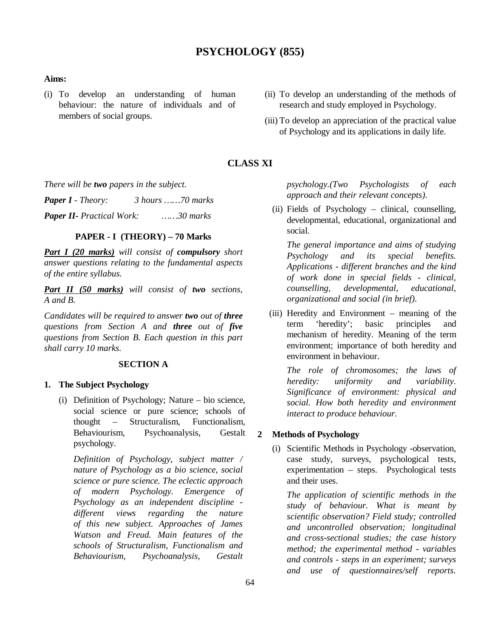# **PSYCHOLOGY (855)**

#### **Aims:**

- (i) To develop an understanding of human behaviour: the nature of individuals and of members of social groups.
- (ii) To develop an understanding of the methods of research and study employed in Psychology.
- (iii) To develop an appreciation of the practical value of Psychology and its applications in daily life.

# **CLASS XI**

*There will be two papers in the subject.*

*Paper I - Theory: 3 hours ……70 marks Paper II- Practical Work: ……30 marks*

# **PAPER - I (THEORY) – 70 Marks**

*Part I (20 marks) will consist of compulsory short answer questions relating to the fundamental aspects of the entire syllabus.*

*Part II (50 marks) will consist of two sections, A and B.* 

*Candidates will be required to answer two out of three questions from Section A and three out of five questions from Section B. Each question in this part shall carry 10 marks.*

### **SECTION A**

### **1. The Subject Psychology**

(i) Definition of Psychology; Nature – bio science, social science or pure science; schools of thought – Structuralism, Functionalism, Behaviourism, Psychoanalysis, Gestalt psychology.

*Definition of Psychology, subject matter / nature of Psychology as a bio science, social science or pure science. The eclectic approach of modern Psychology. Emergence of Psychology as an independent discipline different views regarding the nature of this new subject. Approaches of James Watson and Freud. Main features of the schools of Structuralism, Functionalism and Behaviourism, Psychoanalysis, Gestalt* 

*psychology.(Two Psychologists of each approach and their relevant concepts).*

(ii) Fields of Psychology – clinical, counselling, developmental, educational, organizational and social.

*The general importance and aims of studying Psychology and its special benefits. Applications - different branches and the kind of work done in special fields - clinical, counselling, developmental, educational, organizational and social (in brief).*

(iii) Heredity and Environment – meaning of the term 'heredity'; basic principles and mechanism of heredity. Meaning of the term environment; importance of both heredity and environment in behaviour.

*The role of chromosomes; the laws of heredity: uniformity and variability. Significance of environment: physical and social. How both heredity and environment interact to produce behaviour.*

### **2 Methods of Psychology**

(i) Scientific Methods in Psychology -observation, case study, surveys, psychological tests, experimentation – steps. Psychological tests and their uses.

*The application of scientific methods in the study of behaviour. What is meant by scientific observation? Field study; controlled and uncontrolled observation; longitudinal and cross-sectional studies; the case history method; the experimental method - variables and controls - steps in an experiment; surveys and use of questionnaires/self reports.*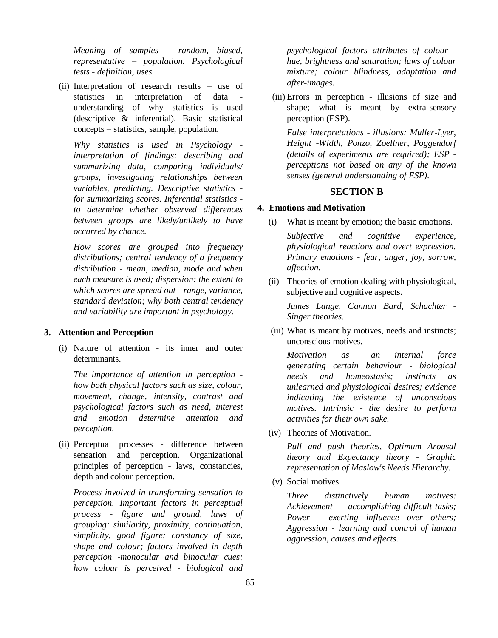*Meaning of samples - random, biased, representative – population. Psychological tests - definition, uses.* 

(ii) Interpretation of research results – use of statistics in interpretation of data understanding of why statistics is used (descriptive & inferential). Basic statistical concepts – statistics, sample, population.

*Why statistics is used in Psychology interpretation of findings: describing and summarizing data, comparing individuals/ groups, investigating relationships between variables, predicting. Descriptive statistics for summarizing scores. Inferential statistics to determine whether observed differences between groups are likely/unlikely to have occurred by chance.*

*How scores are grouped into frequency distributions; central tendency of a frequency distribution - mean, median, mode and when each measure is used; dispersion: the extent to which scores are spread out - range, variance, standard deviation; why both central tendency and variability are important in psychology.*

### **3. Attention and Perception**

(i) Nature of attention - its inner and outer determinants.

*The importance of attention in perception how both physical factors such as size, colour, movement, change, intensity, contrast and psychological factors such as need, interest and emotion determine attention and perception.*

(ii) Perceptual processes - difference between sensation and perception. Organizational principles of perception - laws, constancies, depth and colour perception.

*Process involved in transforming sensation to perception. Important factors in perceptual process - figure and ground, laws of grouping: similarity, proximity, continuation, simplicity, good figure; constancy of size, shape and colour; factors involved in depth perception -monocular and binocular cues; how colour is perceived - biological and* 

*psychological factors attributes of colour hue, brightness and saturation; laws of colour mixture; colour blindness, adaptation and after-images.*

(iii) Errors in perception - illusions of size and shape; what is meant by extra-sensory perception (ESP).

*False interpretations - illusions: Muller-Lyer, Height -Width, Ponzo, Zoellner, Poggendorf (details of experiments are required); ESP perceptions not based on any of the known senses (general understanding of ESP).* 

### **SECTION B**

### **4. Emotions and Motivation**

(i) What is meant by emotion; the basic emotions.

*Subjective and cognitive experience, physiological reactions and overt expression. Primary emotions - fear, anger, joy, sorrow, affection.*

(ii) Theories of emotion dealing with physiological, subjective and cognitive aspects.

*James Lange, Cannon Bard, Schachter - Singer theories.*

 (iii) What is meant by motives, needs and instincts; unconscious motives.

*Motivation as an internal force generating certain behaviour - biological needs and homeostasis; instincts as unlearned and physiological desires; evidence indicating the existence of unconscious motives. Intrinsic - the desire to perform activities for their own sake.*

(iv) Theories of Motivation.

*Pull and push theories, Optimum Arousal theory and Expectancy theory - Graphic representation of Maslow's Needs Hierarchy.*

(v) Social motives.

*Three distinctively human motives: Achievement - accomplishing difficult tasks; Power - exerting influence over others; Aggression - learning and control of human aggression, causes and effects.*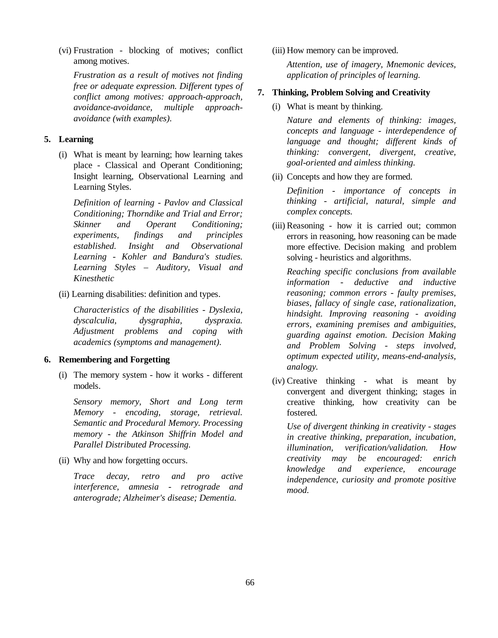(vi) Frustration - blocking of motives; conflict among motives.

*Frustration as a result of motives not finding free or adequate expression. Different types of conflict among motives: approach-approach, avoidance-avoidance, multiple approachavoidance (with examples).* 

### **5. Learning**

(i) What is meant by learning; how learning takes place - Classical and Operant Conditioning; Insight learning, Observational Learning and Learning Styles.

*Definition of learning - Pavlov and Classical Conditioning; Thorndike and Trial and Error; Skinner and Operant Conditioning; experiments, findings and principles established. Insight and Observational Learning - Kohler and Bandura's studies. Learning Styles – Auditory, Visual and Kinesthetic*

(ii) Learning disabilities: definition and types.

*Characteristics of the disabilities - Dyslexia, dyscalculia, dysgraphia, dyspraxia. Adjustment problems and coping with academics (symptoms and management).*

### **6. Remembering and Forgetting**

(i) The memory system - how it works - different models.

*Sensory memory, Short and Long term Memory - encoding, storage, retrieval. Semantic and Procedural Memory. Processing memory - the Atkinson Shiffrin Model and Parallel Distributed Processing.* 

(ii) Why and how forgetting occurs.

*Trace decay, retro and pro active interference, amnesia - retrograde and anterograde; Alzheimer's disease; Dementia.*

(iii) How memory can be improved.

*Attention, use of imagery, Mnemonic devices, application of principles of learning.*

### **7. Thinking, Problem Solving and Creativity**

(i) What is meant by thinking.

*Nature and elements of thinking: images, concepts and language - interdependence of language and thought; different kinds of thinking: convergent, divergent, creative, goal-oriented and aimless thinking.* 

(ii) Concepts and how they are formed.

*Definition - importance of concepts in thinking - artificial, natural, simple and complex concepts.*

(iii) Reasoning - how it is carried out; common errors in reasoning, how reasoning can be made more effective. Decision making and problem solving - heuristics and algorithms.

*Reaching specific conclusions from available information - deductive and inductive reasoning; common errors - faulty premises, biases, fallacy of single case, rationalization, hindsight. Improving reasoning - avoiding errors, examining premises and ambiguities, guarding against emotion. Decision Making and Problem Solving - steps involved, optimum expected utility, means-end-analysis, analogy.*

(iv) Creative thinking - what is meant by convergent and divergent thinking; stages in creative thinking, how creativity can be fostered.

*Use of divergent thinking in creativity - stages in creative thinking, preparation, incubation, illumination, verification/validation. How creativity may be encouraged: enrich knowledge and experience, encourage independence, curiosity and promote positive mood.*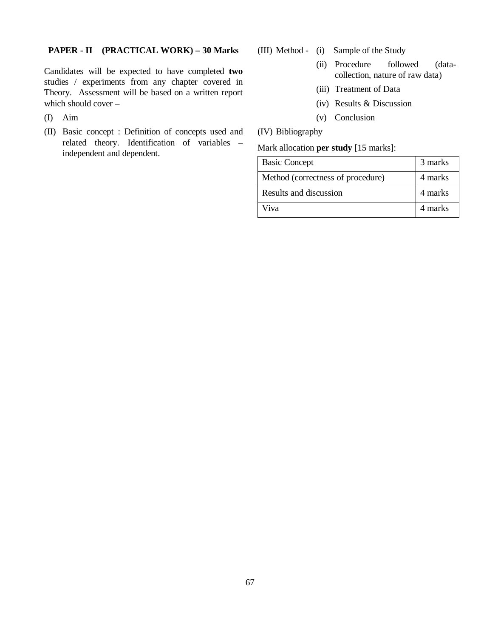### **PAPER - II (PRACTICAL WORK) – 30 Marks**

Candidates will be expected to have completed **two** studies / experiments from any chapter covered in Theory. Assessment will be based on a written report which should cover –

- (I) Aim
- (II) Basic concept : Definition of concepts used and related theory. Identification of variables – independent and dependent.
- (III) Method (i) Sample of the Study
	- (ii) Procedure followed (datacollection, nature of raw data)
	- (iii) Treatment of Data
	- (iv) Results & Discussion
	- (v) Conclusion

# (IV) Bibliography

### Mark allocation **per study** [15 marks]:

| <b>Basic Concept</b>              | 3 marks |
|-----------------------------------|---------|
| Method (correctness of procedure) | 4 marks |
| Results and discussion            | 4 marks |
| Viva                              | 4 marks |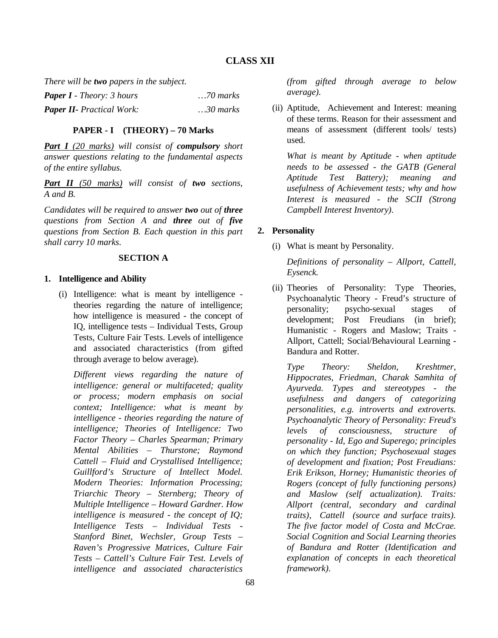*There will be two papers in the subject.*

| <b>Paper I</b> - Theory: 3 hours | $\ldots$ 70 marks |
|----------------------------------|-------------------|
| <b>Paper II-</b> Practical Work: | $30$ marks        |

### **PAPER - I (THEORY) – 70 Marks**

*Part I (20 marks) will consist of compulsory short answer questions relating to the fundamental aspects of the entire syllabus.*

*Part II (50 marks) will consist of two sections, A and B.* 

*Candidates will be required to answer two out of three questions from Section A and three out of five questions from Section B. Each question in this part shall carry 10 marks.*

### **SECTION A**

### **1. Intelligence and Ability**

(i) Intelligence: what is meant by intelligence theories regarding the nature of intelligence; how intelligence is measured - the concept of IQ, intelligence tests – Individual Tests, Group Tests, Culture Fair Tests. Levels of intelligence and associated characteristics (from gifted through average to below average).

*Different views regarding the nature of intelligence: general or multifaceted; quality or process; modern emphasis on social context; Intelligence: what is meant by intelligence - theories regarding the nature of intelligence; Theories of Intelligence: Two Factor Theory – Charles Spearman; Primary Mental Abilities – Thurstone; Raymond Cattell – Fluid and Crystallised Intelligence; Guillford's Structure of Intellect Model. Modern Theories: Information Processing; Triarchic Theory – Sternberg; Theory of Multiple Intelligence – Howard Gardner. How intelligence is measured - the concept of IQ; Intelligence Tests – Individual Tests - Stanford Binet, Wechsler, Group Tests – Raven's Progressive Matrices, Culture Fair Tests – Cattell's Culture Fair Test. Levels of intelligence and associated characteristics* 

*(from gifted through average to below average).*

(ii) Aptitude, Achievement and Interest: meaning of these terms. Reason for their assessment and means of assessment (different tools/ tests) used.

*What is meant by Aptitude - when aptitude needs to be assessed - the GATB (General Aptitude Test Battery); meaning and usefulness of Achievement tests; why and how Interest is measured - the SCII (Strong Campbell Interest Inventory).* 

# **2. Personality**

(i) What is meant by Personality.

*Definitions of personality – Allport, Cattell, Eysenck.* 

(ii) Theories of Personality: Type Theories, Psychoanalytic Theory - Freud's structure of personality; psycho-sexual stages of development; Post Freudians (in brief); Humanistic - Rogers and Maslow; Traits - Allport, Cattell; Social/Behavioural Learning - Bandura and Rotter.

*Type Theory: Sheldon, Kreshtmer, Hippocrates, Friedman, Charak Samhita of Ayurveda. Types and stereotypes - the usefulness and dangers of categorizing personalities, e.g. introverts and extroverts. Psychoanalytic Theory of Personality: Freud's levels of consciousness, structure of personality - Id, Ego and Superego; principles on which they function; Psychosexual stages of development and fixation; Post Freudians: Erik Erikson, Horney; Humanistic theories of Rogers (concept of fully functioning persons) and Maslow (self actualization). Traits: Allport (central, secondary and cardinal traits), Cattell (source and surface traits). The five factor model of Costa and McCrae. Social Cognition and Social Learning theories of Bandura and Rotter (Identification and explanation of concepts in each theoretical framework).*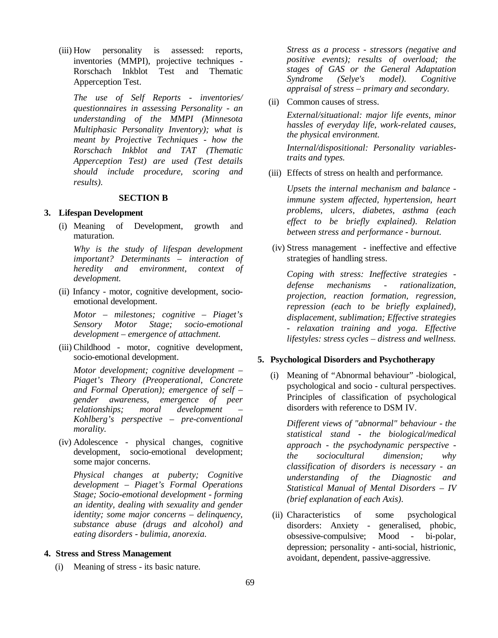(iii) How personality is assessed: reports, inventories (MMPI), projective techniques - Rorschach Inkblot Test and Thematic Apperception Test.

*The use of Self Reports - inventories/ questionnaires in assessing Personality - an understanding of the MMPI (Minnesota Multiphasic Personality Inventory); what is meant by Projective Techniques - how the Rorschach Inkblot and TAT (Thematic Apperception Test) are used (Test details should include procedure, scoring and results).*

#### **SECTION B**

#### **3. Lifespan Development**

(i) Meaning of Development, growth and maturation.

*Why is the study of lifespan development important? Determinants – interaction of heredity and environment, context of development.*

(ii) Infancy - motor, cognitive development, socioemotional development.

*Motor – milestones; cognitive – Piaget's Sensory Motor Stage; socio-emotional development – emergence of attachment.*

(iii) Childhood - motor, cognitive development, socio-emotional development.

*Motor development; cognitive development – Piaget's Theory (Preoperational, Concrete and Formal Operation); emergence of self – gender awareness, emergence of peer relationships; moral development – Kohlberg's perspective – pre-conventional morality.*

(iv) Adolescence - physical changes, cognitive development, socio-emotional development; some major concerns.

*Physical changes at puberty; Cognitive development – Piaget's Formal Operations Stage; Socio-emotional development - forming an identity, dealing with sexuality and gender identity; some major concerns – delinquency, substance abuse (drugs and alcohol) and eating disorders - bulimia, anorexia.*

#### **4. Stress and Stress Management**

(i) Meaning of stress - its basic nature.

*Stress as a process - stressors (negative and positive events); results of overload; the stages of GAS or the General Adaptation Syndrome (Selye's model). Cognitive appraisal of stress – primary and secondary.*

(ii) Common causes of stress.

*External/situational: major life events, minor hassles of everyday life, work-related causes, the physical environment.*

*Internal/dispositional: Personality variablestraits and types.* 

(iii) Effects of stress on health and performance.

*Upsets the internal mechanism and balance immune system affected, hypertension, heart problems, ulcers, diabetes, asthma (each effect to be briefly explained). Relation between stress and performance - burnout.*

(iv) Stress management - ineffective and effective strategies of handling stress.

*Coping with stress: Ineffective strategies defense mechanisms - rationalization, projection, reaction formation, regression, repression (each to be briefly explained), displacement, sublimation; Effective strategies - relaxation training and yoga. Effective lifestyles: stress cycles – distress and wellness.* 

#### **5. Psychological Disorders and Psychotherapy**

(i) Meaning of "Abnormal behaviour" -biological, psychological and socio - cultural perspectives. Principles of classification of psychological disorders with reference to DSM IV.

*Different views of "abnormal" behaviour - the statistical stand - the biological/medical approach - the psychodynamic perspective the sociocultural dimension; why classification of disorders is necessary - an understanding of the Diagnostic and Statistical Manual of Mental Disorders – IV (brief explanation of each Axis).*

(ii) Characteristics of some psychological disorders: Anxiety - generalised, phobic, obsessive-compulsive; Mood - bi-polar, depression; personality - anti-social, histrionic, avoidant, dependent, passive-aggressive.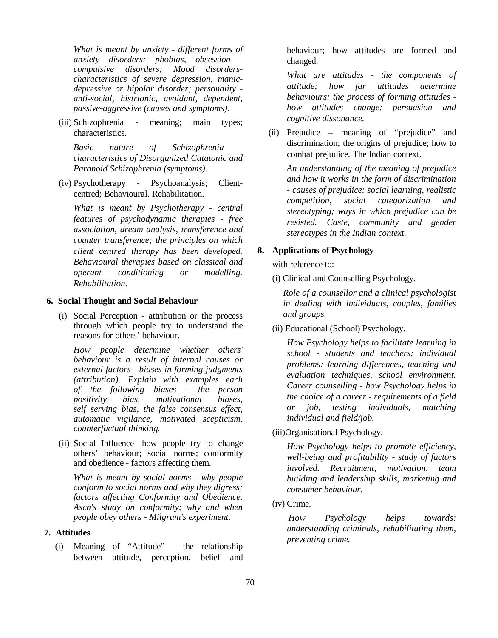*What is meant by anxiety - different forms of anxiety disorders: phobias, obsession compulsive disorders; Mood disorderscharacteristics of severe depression, manicdepressive or bipolar disorder; personality anti-social, histrionic, avoidant, dependent, passive-aggressive (causes and symptoms).*

(iii) Schizophrenia - meaning; main types; characteristics.

*Basic nature of Schizophrenia characteristics of Disorganized Catatonic and Paranoid Schizophrenia (symptoms).* 

(iv) Psychotherapy - Psychoanalysis; Clientcentred; Behavioural. Rehabilitation.

*What is meant by Psychotherapy - central features of psychodynamic therapies - free association, dream analysis, transference and counter transference; the principles on which client centred therapy has been developed. Behavioural therapies based on classical and operant conditioning or modelling. Rehabilitation.*

#### **6. Social Thought and Social Behaviour**

(i) Social Perception - attribution or the process through which people try to understand the reasons for others' behaviour.

*How people determine whether others' behaviour is a result of internal causes or external factors - biases in forming judgments (attribution). Explain with examples each of the following biases - the person positivity bias, motivational biases, self serving bias, the false consensus effect, automatic vigilance, motivated scepticism, counterfactual thinking.*

(ii) Social Influence- how people try to change others' behaviour; social norms; conformity and obedience - factors affecting them.

*What is meant by social norms - why people conform to social norms and why they digress; factors affecting Conformity and Obedience. Asch's study on conformity; why and when people obey others - Milgram's experiment.*

### **7. Attitudes**

(i) Meaning of "Attitude" - the relationship between attitude, perception, belief and

behaviour; how attitudes are formed and changed.

*What are attitudes - the components of attitude; how far attitudes determine behaviours: the process of forming attitudes how attitudes change: persuasion and cognitive dissonance.*

(ii) Prejudice – meaning of "prejudice" and discrimination; the origins of prejudice; how to combat prejudice. The Indian context.

*An understanding of the meaning of prejudice and how it works in the form of discrimination - causes of prejudice: social learning, realistic competition, social categorization and stereotyping; ways in which prejudice can be resisted. Caste, community and gender stereotypes in the Indian context.*

#### **8. Applications of Psychology**

with reference to:

(i) Clinical and Counselling Psychology.

*Role of a counsellor and a clinical psychologist in dealing with individuals, couples, families and groups.*

(ii) Educational (School) Psychology.

*How Psychology helps to facilitate learning in school - students and teachers; individual problems: learning differences, teaching and evaluation techniques, school environment. Career counselling - how Psychology helps in the choice of a career - requirements of a field or job, testing individuals, matching individual and field/job.*

(iii)Organisational Psychology.

*How Psychology helps to promote efficiency, well-being and profitability - study of factors involved. Recruitment, motivation, team building and leadership skills, marketing and consumer behaviour.* 

(iv) Crime.

*How Psychology helps towards: understanding criminals, rehabilitating them, preventing crime.*